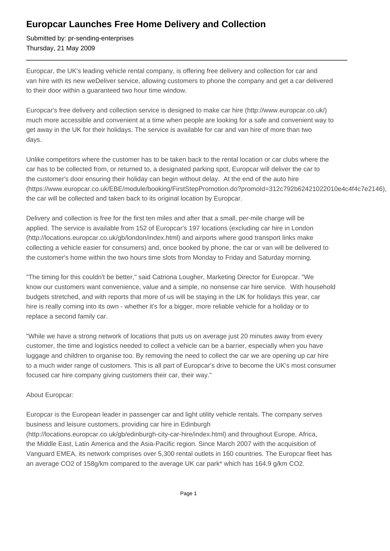## **Europcar Launches Free Home Delivery and Collection**

Submitted by: pr-sending-enterprises Thursday, 21 May 2009

Europcar, the UK's leading vehicle rental company, is offering free delivery and collection for car and van hire with its new weDeliver service, allowing customers to phone the company and get a car delivered to their door within a guaranteed two hour time window.

Europcar's free delivery and collection service is designed to make car hire (http://www.europcar.co.uk/) much more accessible and convenient at a time when people are looking for a safe and convenient way to get away in the UK for their holidays. The service is available for car and van hire of more than two days.

Unlike competitors where the customer has to be taken back to the rental location or car clubs where the car has to be collected from, or returned to, a designated parking spot, Europcar will deliver the car to the customer's door ensuring their holiday can begin without delay. At the end of the auto hire (https://www.europcar.co.uk/EBE/module/booking/FirstStepPromotion.do?promoId=312c792b62421022010e4c4f4c7e2146), the car will be collected and taken back to its original location by Europcar.

Delivery and collection is free for the first ten miles and after that a small, per-mile charge will be applied. The service is available from 152 of Europcar's 197 locations (excluding car hire in London (http://locations.europcar.co.uk/gb/london/index.html) and airports where good transport links make collecting a vehicle easier for consumers) and, once booked by phone, the car or van will be delivered to the customer's home within the two hours time slots from Monday to Friday and Saturday morning.

"The timing for this couldn't be better," said Catriona Lougher, Marketing Director for Europcar. "We know our customers want convenience, value and a simple, no nonsense car hire service. With household budgets stretched, and with reports that more of us will be staying in the UK for holidays this year, car hire is really coming into its own - whether it's for a bigger, more reliable vehicle for a holiday or to replace a second family car.

"While we have a strong network of locations that puts us on average just 20 minutes away from every customer, the time and logistics needed to collect a vehicle can be a barrier, especially when you have luggage and children to organise too. By removing the need to collect the car we are opening up car hire to a much wider range of customers. This is all part of Europcar's drive to become the UK's most consumer focused car hire company giving customers their car, their way."

## About Europcar:

Europcar is the European leader in passenger car and light utility vehicle rentals. The company serves business and leisure customers, providing car hire in Edinburgh (http://locations.europcar.co.uk/gb/edinburgh-city-car-hire/index.html) and throughout Europe, Africa,

the Middle East, Latin America and the Asia-Pacific region. Since March 2007 with the acquisition of Vanguard EMEA, its network comprises over 5,300 rental outlets in 160 countries. The Europcar fleet has an average CO2 of 158g/km compared to the average UK car park\* which has 164.9 g/km CO2.